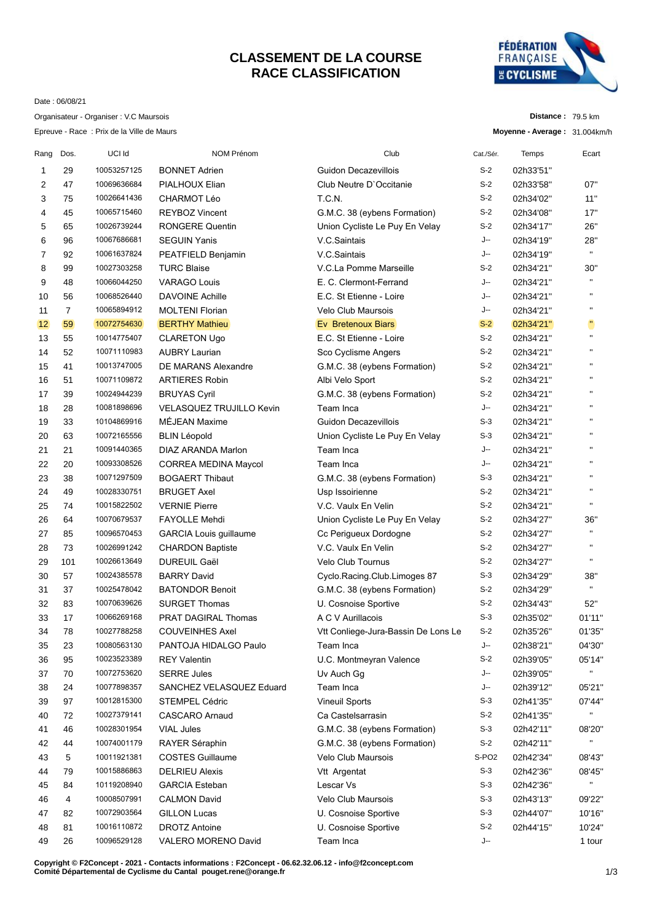## **CLASSEMENT DE LA COURSE RACE CLASSIFICATION**



Date : 06/08/21

Organisateur - Organiser : V.C Maursois

Epreuve - Race : Prix de la Ville de Maurs

| Distance: 79.5 km             |  |
|-------------------------------|--|
| Moyenne - Average: 31.004km/h |  |

| Rang | Dos.           | UCI Id      | NOM Prénom                    | Club                                | Cat./Sér.         | Temps     | Ecart                   |
|------|----------------|-------------|-------------------------------|-------------------------------------|-------------------|-----------|-------------------------|
| 1    | 29             | 10053257125 | <b>BONNET Adrien</b>          | Guidon Decazevillois                | $S-2$             | 02h33'51" |                         |
| 2    | 47             | 10069636684 | PIALHOUX Elian                | Club Neutre D'Occitanie             | S-2               | 02h33'58" | 07"                     |
| 3    | 75             | 10026641436 | <b>CHARMOT Léo</b>            | T.C.N.                              | S-2               | 02h34'02" | 11"                     |
| 4    | 45             | 10065715460 | <b>REYBOZ Vincent</b>         | G.M.C. 38 (eybens Formation)        | $S-2$             | 02h34'08" | 17"                     |
| 5    | 65             | 10026739244 | <b>RONGERE Quentin</b>        | Union Cycliste Le Puy En Velay      | S-2               | 02h34'17" | 26"                     |
| 6    | 96             | 10067686681 | <b>SEGUIN Yanis</b>           | V.C.Saintais                        | J--               | 02h34'19" | 28"                     |
| 7    | 92             | 10061637824 | PEATFIELD Benjamin            | V.C.Saintais                        | J--               | 02h34'19" | $\mathbf{H}$            |
| 8    | 99             | 10027303258 | <b>TURC Blaise</b>            | V.C.La Pomme Marseille              | S-2               | 02h34'21" | 30"                     |
| 9    | 48             | 10066044250 | <b>VARAGO Louis</b>           | E. C. Clermont-Ferrand              | J--               | 02h34'21" | $\mathbf{H}$            |
| 10   | 56             | 10068526440 | <b>DAVOINE Achille</b>        | E.C. St Etienne - Loire             | J--               | 02h34'21" | $\mathbf{H}$            |
| 11   | $\overline{7}$ | 10065894912 | <b>MOLTENI Florian</b>        | <b>Velo Club Maursois</b>           | J--               | 02h34'21" | $\mathbf{H}$            |
| 12   | 59             | 10072754630 | <b>BERTHY Mathieu</b>         | Ev Bretenoux Biars                  | $S-2$             | 02h34'21" | $\mathbf{u}$            |
| 13   | 55             | 10014775407 | <b>CLARETON Ugo</b>           | E.C. St Etienne - Loire             | S-2               | 02h34'21" | $\mathbf{H}$            |
| 14   | 52             | 10071110983 | <b>AUBRY Laurian</b>          | Sco Cyclisme Angers                 | $S-2$             | 02h34'21" | $\mathbf{H}$            |
| 15   | 41             | 10013747005 | <b>DE MARANS Alexandre</b>    | G.M.C. 38 (eybens Formation)        | S-2               | 02h34'21" | $\mathbf{H}$            |
| 16   | 51             | 10071109872 | <b>ARTIERES Robin</b>         | Albi Velo Sport                     | $S-2$             | 02h34'21" | $\mathbf{H}$            |
| 17   | 39             | 10024944239 | <b>BRUYAS Cyril</b>           | G.M.C. 38 (eybens Formation)        | S-2               | 02h34'21" | $\mathbf{H}$            |
| 18   | 28             | 10081898696 | VELASQUEZ TRUJILLO Kevin      | Team Inca                           | J--               | 02h34'21" | $\mathbf{H}$            |
| 19   | 33             | 10104869916 | MÉJEAN Maxime                 | Guidon Decazevillois                | $S-3$             | 02h34'21" | $\mathbf{H}$            |
| 20   | 63             | 10072165556 | <b>BLIN Léopold</b>           | Union Cycliste Le Puy En Velay      | S-3               | 02h34'21" | $\mathbf{H}$            |
| 21   | 21             | 10091440365 | DIAZ ARANDA Marlon            | Team Inca                           | J--               | 02h34'21" | $\mathbf{H}$            |
| 22   | 20             | 10093308526 | CORREA MEDINA Maycol          | Team Inca                           | J--               | 02h34'21" | $\mathbf{H}$            |
| 23   | 38             | 10071297509 | <b>BOGAERT Thibaut</b>        | G.M.C. 38 (eybens Formation)        | $S-3$             | 02h34'21" | $\mathbf{H}$            |
| 24   | 49             | 10028330751 | <b>BRUGET Axel</b>            | Usp Issoirienne                     | $S-2$             | 02h34'21" | $\mathbf{H}$            |
| 25   | 74             | 10015822502 | <b>VERNIE Pierre</b>          | V.C. Vaulx En Velin                 | $S-2$             | 02h34'21" | $\mathbf{H}$            |
| 26   | 64             | 10070679537 | FAYOLLE Mehdi                 | Union Cycliste Le Puy En Velay      | $S-2$             | 02h34'27" | 36"                     |
| 27   | 85             | 10096570453 | <b>GARCIA Louis guillaume</b> | Cc Perigueux Dordogne               | S-2               | 02h34'27" | $\mathbf{H}$            |
| 28   | 73             | 10026991242 | <b>CHARDON Baptiste</b>       | V.C. Vaulx En Velin                 | S-2               | 02h34'27" | $\mathbf{H}$            |
| 29   | 101            | 10026613649 | <b>DUREUIL Gaël</b>           | Velo Club Tournus                   | S-2               | 02h34'27" |                         |
| 30   | 57             | 10024385578 | <b>BARRY David</b>            | Cyclo.Racing.Club.Limoges 87        | $S-3$             | 02h34'29" | 38"                     |
| 31   | 37             | 10025478042 | <b>BATONDOR Benoit</b>        | G.M.C. 38 (eybens Formation)        | S-2               | 02h34'29" | $\mathbf{H}$            |
| 32   | 83             | 10070639626 | <b>SURGET Thomas</b>          | U. Cosnoise Sportive                | $S-2$             | 02h34'43" | 52"                     |
| 33   | 17             | 10066269168 | <b>PRAT DAGIRAL Thomas</b>    | A C V Aurillacois                   | $S-3$             | 02h35'02" | 01'11"                  |
| 34   | 78             | 10027788258 | <b>COUVEINHES Axel</b>        | Vtt Conliege-Jura-Bassin De Lons Le | $S-2$             | 02h35'26" | 01'35"                  |
| 35   | 23             | 10080563130 | PANTOJA HIDALGO Paulo         | Team Inca                           | J--               | 02h38'21" | 04'30"                  |
| 36   | 95             | 10023523389 | <b>REY Valentin</b>           | U.C. Montmeyran Valence             | $S-2$             | 02h39'05" | 05'14"                  |
| 37   | 70             | 10072753620 | <b>SERRE Jules</b>            | Uv Auch Gg                          | J--               | 02h39'05" | $\mathbf{H}_\perp$      |
| 38   | 24             | 10077898357 | SANCHEZ VELASQUEZ Eduard      | Team Inca                           | J--               | 02h39'12" | 05'21"                  |
| 39   | 97             | 10012815300 | <b>STEMPEL Cédric</b>         | <b>Vineuil Sports</b>               | S-3               | 02h41'35" | 07'44"                  |
| 40   | 72             | 10027379141 | <b>CASCARO</b> Arnaud         | Ca Castelsarrasin                   | S-2               | 02h41'35" | $\mathbf{H}$            |
| 41   | 46             | 10028301954 | <b>VIAL Jules</b>             | G.M.C. 38 (eybens Formation)        | S-3               | 02h42'11" | 08'20"                  |
| 42   | 44             | 10074001179 | RAYER Séraphin                | G.M.C. 38 (eybens Formation)        | S-2               | 02h42'11" | п.                      |
| 43   | 5              | 10011921381 | <b>COSTES Guillaume</b>       | Velo Club Maursois                  | S-PO <sub>2</sub> | 02h42'34" | 08'43"                  |
| 44   | 79             | 10015886863 | <b>DELRIEU Alexis</b>         | Vtt Argentat                        | $S-3$             | 02h42'36" | 08'45"                  |
| 45   | 84             | 10119208940 | <b>GARCIA Esteban</b>         | Lescar Vs                           | $S-3$             | 02h42'36" | $\mathbf{H}_\mathrm{c}$ |
| 46   | 4              | 10008507991 | <b>CALMON David</b>           | Velo Club Maursois                  | S-3               | 02h43'13" | 09'22"                  |
| 47   | 82             | 10072903564 | <b>GILLON Lucas</b>           | U. Cosnoise Sportive                | $S-3$             | 02h44'07" | 10'16"                  |
| 48   | 81             | 10016110872 | <b>DROTZ Antoine</b>          | U. Cosnoise Sportive                | $S-2$             | 02h44'15" | 10'24"                  |
| 49   | 26             | 10096529128 | VALERO MORENO David           | Team Inca                           | J--               |           | 1 tour                  |
|      |                |             |                               |                                     |                   |           |                         |

**Copyright © F2Concept - 2021 - Contacts informations : F2Concept - 06.62.32.06.12 - info@f2concept.com Comité Départemental de Cyclisme du Cantal pouget.rene@orange.fr**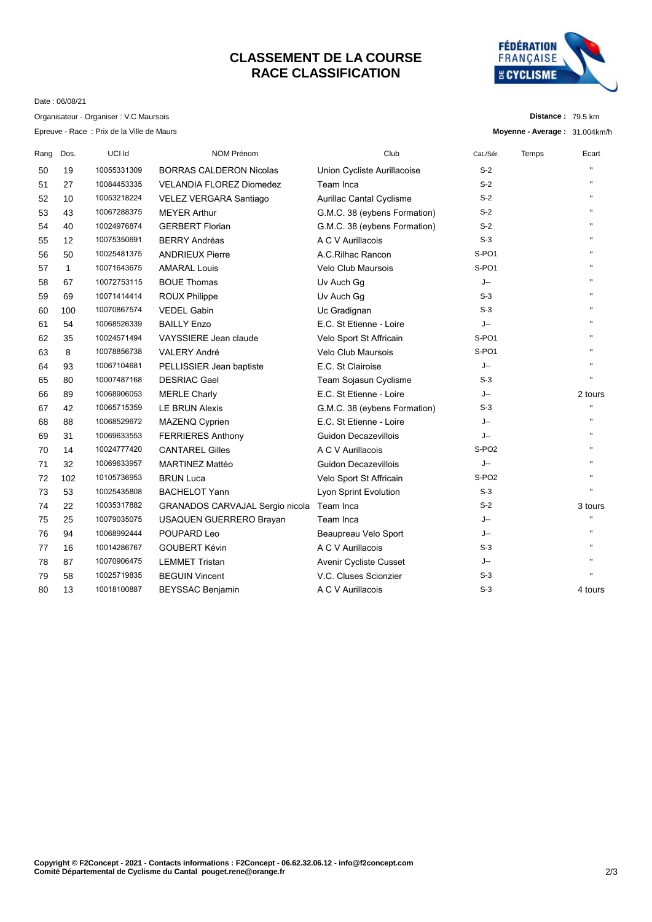## **CLASSEMENT DE LA COURSE RACE CLASSIFICATION**



Date : 06/08/21

Organisateur - Organiser : V.C Maursois

Epreuve - Race : Prix de la Ville de Maurs

**Distance :** 79.5 km

**Moyenne - Average :** 31.004km/h

| Rang | Dos.         | UCI Id      | NOM Prénom                             | Club                            | Cat./Sér.         | Temps | Ecart          |
|------|--------------|-------------|----------------------------------------|---------------------------------|-------------------|-------|----------------|
| 50   | 19           | 10055331309 | <b>BORRAS CALDERON Nicolas</b>         | Union Cycliste Aurillacoise     | $S-2$             |       |                |
| 51   | 27           | 10084453335 | <b>VELANDIA FLOREZ Diomedez</b>        | Team Inca                       | $S-2$             |       | п              |
| 52   | 10           | 10053218224 | VELEZ VERGARA Santiago                 | <b>Aurillac Cantal Cyclisme</b> | S-2               |       | $\blacksquare$ |
| 53   | 43           | 10067288375 | <b>MEYER Arthur</b>                    | G.M.C. 38 (eybens Formation)    | $S-2$             |       | $\blacksquare$ |
| 54   | 40           | 10024976874 | <b>GERBERT Florian</b>                 | G.M.C. 38 (eybens Formation)    | $S-2$             |       | $\blacksquare$ |
| 55   | 12           | 10075350691 | <b>BERRY Andréas</b>                   | A C V Aurillacois               | $S-3$             |       | $\mathbf{u}$   |
| 56   | 50           | 10025481375 | <b>ANDRIEUX Pierre</b>                 | A.C.Rilhac Rancon               | S-PO <sub>1</sub> |       | $\blacksquare$ |
| 57   | $\mathbf{1}$ | 10071643675 | <b>AMARAL Louis</b>                    | Velo Club Maursois              | S-PO1             |       | $\blacksquare$ |
| 58   | 67           | 10072753115 | <b>BOUE Thomas</b>                     | Uv Auch Gg                      | J--               |       | $\blacksquare$ |
| 59   | 69           | 10071414414 | ROUX Philippe                          | Uv Auch Gg                      | $S-3$             |       | $\blacksquare$ |
| 60   | 100          | 10070867574 | <b>VEDEL Gabin</b>                     | Uc Gradignan                    | $S-3$             |       | $\blacksquare$ |
| 61   | 54           | 10068526339 | <b>BAILLY Enzo</b>                     | E.C. St Etienne - Loire         | J--               |       | $\blacksquare$ |
| 62   | 35           | 10024571494 | VAYSSIERE Jean claude                  | Velo Sport St Affricain         | S-PO1             |       | п              |
| 63   | 8            | 10078856738 | <b>VALERY André</b>                    | Velo Club Maursois              | S-PO1             |       | $\blacksquare$ |
| 64   | 93           | 10067104681 | PELLISSIER Jean baptiste               | E.C. St Clairoise               | J--               |       | $\blacksquare$ |
| 65   | 80           | 10007487168 | <b>DESRIAC Gael</b>                    | Team Sojasun Cyclisme           | $S-3$             |       | $\blacksquare$ |
| 66   | 89           | 10068906053 | <b>MERLE Charly</b>                    | E.C. St Etienne - Loire         | J--               |       | 2 tours        |
| 67   | 42           | 10065715359 | <b>LE BRUN Alexis</b>                  | G.M.C. 38 (eybens Formation)    | $S-3$             |       | Ħ.             |
| 68   | 88           | 10068529672 | <b>MAZENQ Cyprien</b>                  | E.C. St Etienne - Loire         | J--               |       | $\blacksquare$ |
| 69   | 31           | 10069633553 | <b>FERRIERES Anthony</b>               | Guidon Decazevillois            | J--               |       | $\blacksquare$ |
| 70   | 14           | 10024777420 | <b>CANTAREL Gilles</b>                 | A C V Aurillacois               | S-PO <sub>2</sub> |       | $\blacksquare$ |
| 71   | 32           | 10069633957 | <b>MARTINEZ Mattéo</b>                 | <b>Guidon Decazevillois</b>     | J--               |       | $\mathbf{u}$   |
| 72   | 102          | 10105736953 | <b>BRUN Luca</b>                       | Velo Sport St Affricain         | S-PO <sub>2</sub> |       | $\blacksquare$ |
| 73   | 53           | 10025435808 | <b>BACHELOT Yann</b>                   | <b>Lyon Sprint Evolution</b>    | $S-3$             |       | $\blacksquare$ |
| 74   | 22           | 10035317882 | <b>GRANADOS CARVAJAL Sergio nicola</b> | Team Inca                       | $S-2$             |       | 3 tours        |
| 75   | 25           | 10079035075 | USAQUEN GUERRERO Brayan                | Team Inca                       | J--               |       | п              |
| 76   | 94           | 10068992444 | POUPARD Leo                            | Beaupreau Velo Sport            | J--               |       |                |
| 77   | 16           | 10014286767 | <b>GOUBERT Kévin</b>                   | A C V Aurillacois               | $S-3$             |       | $\blacksquare$ |
| 78   | 87           | 10070906475 | <b>LEMMET Tristan</b>                  | Avenir Cycliste Cusset          | J--               |       | $\mathbf{H}$   |
| 79   | 58           | 10025719835 | <b>BEGUIN Vincent</b>                  | V.C. Cluses Scionzier           | $S-3$             |       | $\blacksquare$ |
| 80   | 13           | 10018100887 | <b>BEYSSAC Benjamin</b>                | A C V Aurillacois               | $S-3$             |       | 4 tours        |